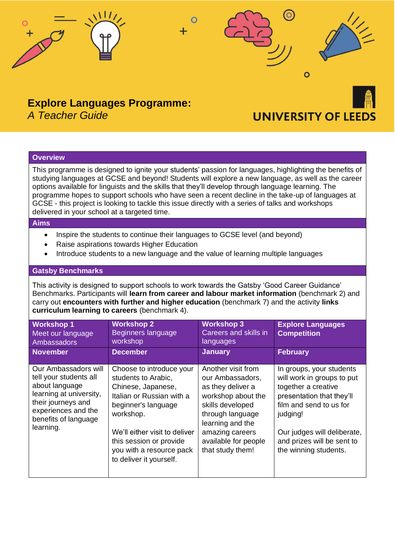

# **Explore Languages Programme:**  *A Teacher Guide*

**UNIVERSITY OF LEED** 

 $\overline{O}$ 

## **Overview**

This programme is designed to ignite your students' passion for languages, highlighting the benefits of studying languages at GCSE and beyond! Students will explore a new language, as well as the career options available for linguists and the skills that they'll develop through language learning. The programme hopes to support schools who have seen a recent decline in the take-up of languages at GCSE - this project is looking to tackle this issue directly with a series of talks and workshops delivered in your school at a targeted time.

#### **Aims**

- Inspire the students to continue their languages to GCSE level (and beyond)
- Raise aspirations towards Higher Education
- Introduce students to a new language and the value of learning multiple languages

#### **Gatsby Benchmarks**

This activity is designed to support schools to work towards the Gatsby 'Good Career Guidance' Benchmarks. Participants will **learn from career and labour market information** (benchmark 2) and carry out **encounters with further and higher education** (benchmark 7) and the activity **links curriculum learning to careers** (benchmark 4).

| <b>Workshop 1</b><br>Meet our language<br><b>Ambassadors</b><br><b>November</b>                                                                                               | <b>Workshop 2</b><br>Beginners language<br>workshop<br><b>December</b>                                                                                                                                                                                    | <b>Workshop 3</b><br>Careers and skills in<br>languages<br><b>January</b>                                                                                                                                    | <b>Explore Languages</b><br><b>Competition</b><br><b>February</b>                                                                                                                                                                       |
|-------------------------------------------------------------------------------------------------------------------------------------------------------------------------------|-----------------------------------------------------------------------------------------------------------------------------------------------------------------------------------------------------------------------------------------------------------|--------------------------------------------------------------------------------------------------------------------------------------------------------------------------------------------------------------|-----------------------------------------------------------------------------------------------------------------------------------------------------------------------------------------------------------------------------------------|
| Our Ambassadors will<br>tell your students all<br>about language<br>learning at university,<br>their journeys and<br>experiences and the<br>benefits of language<br>learning. | Choose to introduce your<br>students to Arabic.<br>Chinese, Japanese,<br>Italian or Russian with a<br>beginner's language<br>workshop.<br>We'll either visit to deliver<br>this session or provide<br>you with a resource pack<br>to deliver it yourself. | Another visit from<br>our Ambassadors,<br>as they deliver a<br>workshop about the<br>skills developed<br>through language<br>learning and the<br>amazing careers<br>available for people<br>that study them! | In groups, your students<br>will work in groups to put<br>together a creative<br>presentation that they'll<br>film and send to us for<br>judging!<br>Our judges will deliberate,<br>and prizes will be sent to<br>the winning students. |